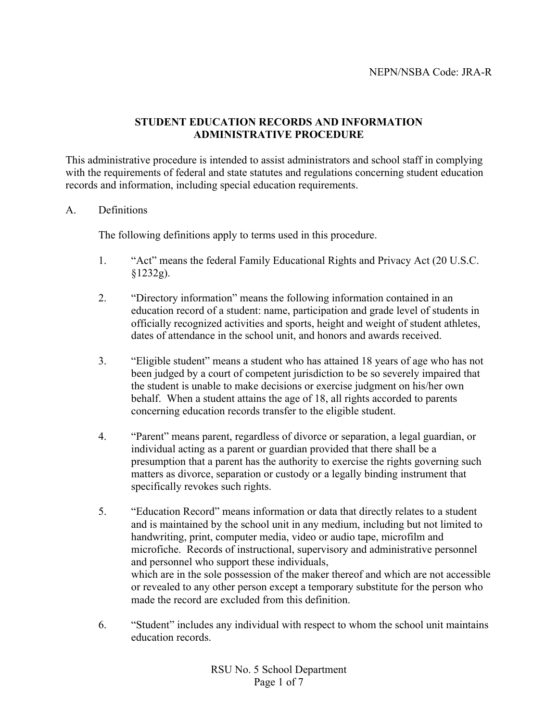# **STUDENT EDUCATION RECORDS AND INFORMATION ADMINISTRATIVE PROCEDURE**

This administrative procedure is intended to assist administrators and school staff in complying with the requirements of federal and state statutes and regulations concerning student education records and information, including special education requirements.

# A. Definitions

The following definitions apply to terms used in this procedure.

- 1. "Act" means the federal Family Educational Rights and Privacy Act (20 U.S.C. §1232g).
- 2. "Directory information" means the following information contained in an education record of a student: name, participation and grade level of students in officially recognized activities and sports, height and weight of student athletes, dates of attendance in the school unit, and honors and awards received.
- 3. "Eligible student" means a student who has attained 18 years of age who has not been judged by a court of competent jurisdiction to be so severely impaired that the student is unable to make decisions or exercise judgment on his/her own behalf. When a student attains the age of 18, all rights accorded to parents concerning education records transfer to the eligible student.
- 4. "Parent" means parent, regardless of divorce or separation, a legal guardian, or individual acting as a parent or guardian provided that there shall be a presumption that a parent has the authority to exercise the rights governing such matters as divorce, separation or custody or a legally binding instrument that specifically revokes such rights.
- 5. "Education Record" means information or data that directly relates to a student and is maintained by the school unit in any medium, including but not limited to handwriting, print, computer media, video or audio tape, microfilm and microfiche. Records of instructional, supervisory and administrative personnel and personnel who support these individuals, which are in the sole possession of the maker thereof and which are not accessible or revealed to any other person except a temporary substitute for the person who made the record are excluded from this definition.
- 6. "Student" includes any individual with respect to whom the school unit maintains education records.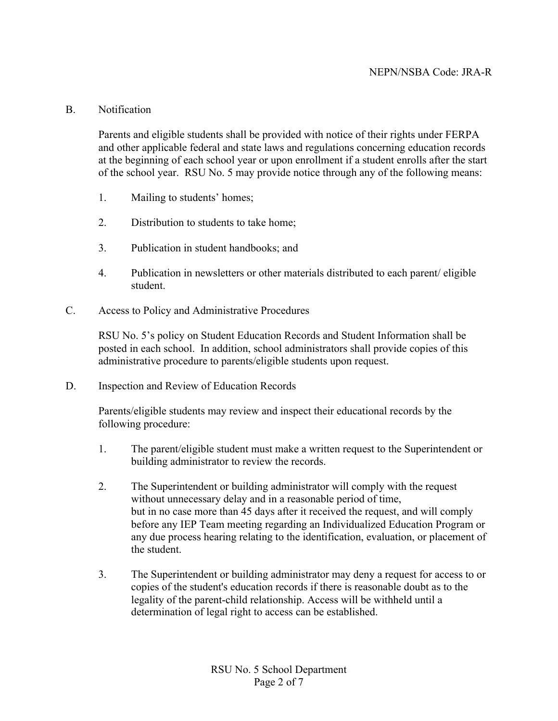### B. Notification

Parents and eligible students shall be provided with notice of their rights under FERPA and other applicable federal and state laws and regulations concerning education records at the beginning of each school year or upon enrollment if a student enrolls after the start of the school year. RSU No. 5 may provide notice through any of the following means:

- 1. Mailing to students' homes;
- 2. Distribution to students to take home;
- 3. Publication in student handbooks; and
- 4. Publication in newsletters or other materials distributed to each parent/ eligible student.
- C. Access to Policy and Administrative Procedures

RSU No. 5's policy on Student Education Records and Student Information shall be posted in each school. In addition, school administrators shall provide copies of this administrative procedure to parents/eligible students upon request.

D. Inspection and Review of Education Records

Parents/eligible students may review and inspect their educational records by the following procedure:

- 1. The parent/eligible student must make a written request to the Superintendent or building administrator to review the records.
- 2. The Superintendent or building administrator will comply with the request without unnecessary delay and in a reasonable period of time, but in no case more than 45 days after it received the request, and will comply before any IEP Team meeting regarding an Individualized Education Program or any due process hearing relating to the identification, evaluation, or placement of the student.
- 3. The Superintendent or building administrator may deny a request for access to or copies of the student's education records if there is reasonable doubt as to the legality of the parent-child relationship. Access will be withheld until a determination of legal right to access can be established.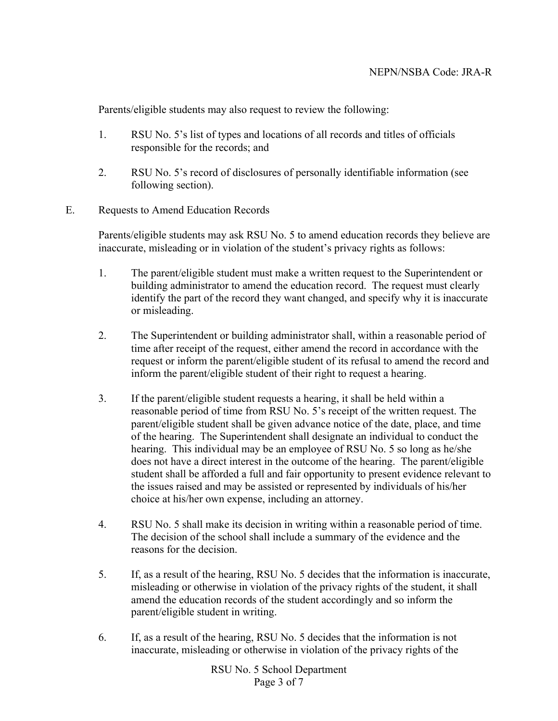Parents/eligible students may also request to review the following:

- 1. RSU No. 5's list of types and locations of all records and titles of officials responsible for the records; and
- 2. RSU No. 5's record of disclosures of personally identifiable information (see following section).
- E. Requests to Amend Education Records

Parents/eligible students may ask RSU No. 5 to amend education records they believe are inaccurate, misleading or in violation of the student's privacy rights as follows:

- 1. The parent/eligible student must make a written request to the Superintendent or building administrator to amend the education record. The request must clearly identify the part of the record they want changed, and specify why it is inaccurate or misleading.
- 2. The Superintendent or building administrator shall, within a reasonable period of time after receipt of the request, either amend the record in accordance with the request or inform the parent/eligible student of its refusal to amend the record and inform the parent/eligible student of their right to request a hearing.
- 3. If the parent/eligible student requests a hearing, it shall be held within a reasonable period of time from RSU No. 5's receipt of the written request. The parent/eligible student shall be given advance notice of the date, place, and time of the hearing. The Superintendent shall designate an individual to conduct the hearing. This individual may be an employee of RSU No. 5 so long as he/she does not have a direct interest in the outcome of the hearing. The parent/eligible student shall be afforded a full and fair opportunity to present evidence relevant to the issues raised and may be assisted or represented by individuals of his/her choice at his/her own expense, including an attorney.
- 4. RSU No. 5 shall make its decision in writing within a reasonable period of time. The decision of the school shall include a summary of the evidence and the reasons for the decision.
- 5. If, as a result of the hearing, RSU No. 5 decides that the information is inaccurate, misleading or otherwise in violation of the privacy rights of the student, it shall amend the education records of the student accordingly and so inform the parent/eligible student in writing.
- 6. If, as a result of the hearing, RSU No. 5 decides that the information is not inaccurate, misleading or otherwise in violation of the privacy rights of the

RSU No. 5 School Department Page 3 of 7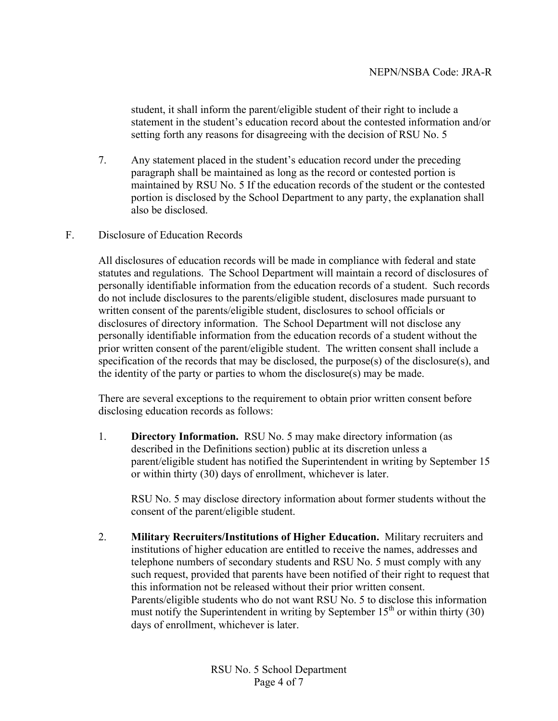student, it shall inform the parent/eligible student of their right to include a statement in the student's education record about the contested information and/or setting forth any reasons for disagreeing with the decision of RSU No. 5

- 7. Any statement placed in the student's education record under the preceding paragraph shall be maintained as long as the record or contested portion is maintained by RSU No. 5 If the education records of the student or the contested portion is disclosed by the School Department to any party, the explanation shall also be disclosed.
- F. Disclosure of Education Records

All disclosures of education records will be made in compliance with federal and state statutes and regulations. The School Department will maintain a record of disclosures of personally identifiable information from the education records of a student. Such records do not include disclosures to the parents/eligible student, disclosures made pursuant to written consent of the parents/eligible student, disclosures to school officials or disclosures of directory information. The School Department will not disclose any personally identifiable information from the education records of a student without the prior written consent of the parent/eligible student. The written consent shall include a specification of the records that may be disclosed, the purpose(s) of the disclosure(s), and the identity of the party or parties to whom the disclosure(s) may be made.

There are several exceptions to the requirement to obtain prior written consent before disclosing education records as follows:

1. **Directory Information.** RSU No. 5 may make directory information (as described in the Definitions section) public at its discretion unless a parent/eligible student has notified the Superintendent in writing by September 15 or within thirty (30) days of enrollment, whichever is later.

RSU No. 5 may disclose directory information about former students without the consent of the parent/eligible student.

2. **Military Recruiters/Institutions of Higher Education.** Military recruiters and institutions of higher education are entitled to receive the names, addresses and telephone numbers of secondary students and RSU No. 5 must comply with any such request, provided that parents have been notified of their right to request that this information not be released without their prior written consent. Parents/eligible students who do not want RSU No. 5 to disclose this information must notify the Superintendent in writing by September  $15<sup>th</sup>$  or within thirty (30) days of enrollment, whichever is later.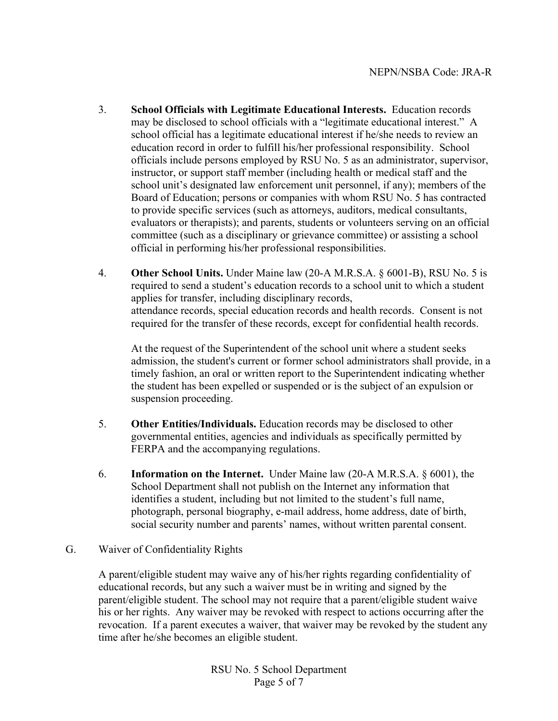- 3. **School Officials with Legitimate Educational Interests.** Education records may be disclosed to school officials with a "legitimate educational interest." A school official has a legitimate educational interest if he/she needs to review an education record in order to fulfill his/her professional responsibility. School officials include persons employed by RSU No. 5 as an administrator, supervisor, instructor, or support staff member (including health or medical staff and the school unit's designated law enforcement unit personnel, if any); members of the Board of Education; persons or companies with whom RSU No. 5 has contracted to provide specific services (such as attorneys, auditors, medical consultants, evaluators or therapists); and parents, students or volunteers serving on an official committee (such as a disciplinary or grievance committee) or assisting a school official in performing his/her professional responsibilities.
- 4. **Other School Units.** Under Maine law (20-A M.R.S.A. § 6001-B), RSU No. 5 is required to send a student's education records to a school unit to which a student applies for transfer, including disciplinary records, attendance records, special education records and health records. Consent is not required for the transfer of these records, except for confidential health records.

At the request of the Superintendent of the school unit where a student seeks admission, the student's current or former school administrators shall provide, in a timely fashion, an oral or written report to the Superintendent indicating whether the student has been expelled or suspended or is the subject of an expulsion or suspension proceeding.

- 5. **Other Entities/Individuals.** Education records may be disclosed to other governmental entities, agencies and individuals as specifically permitted by FERPA and the accompanying regulations.
- 6. **Information on the Internet.** Under Maine law (20-A M.R.S.A. § 6001), the School Department shall not publish on the Internet any information that identifies a student, including but not limited to the student's full name, photograph, personal biography, e-mail address, home address, date of birth, social security number and parents' names, without written parental consent.
- G. Waiver of Confidentiality Rights

A parent/eligible student may waive any of his/her rights regarding confidentiality of educational records, but any such a waiver must be in writing and signed by the parent/eligible student. The school may not require that a parent/eligible student waive his or her rights. Any waiver may be revoked with respect to actions occurring after the revocation. If a parent executes a waiver, that waiver may be revoked by the student any time after he/she becomes an eligible student.

> RSU No. 5 School Department Page 5 of 7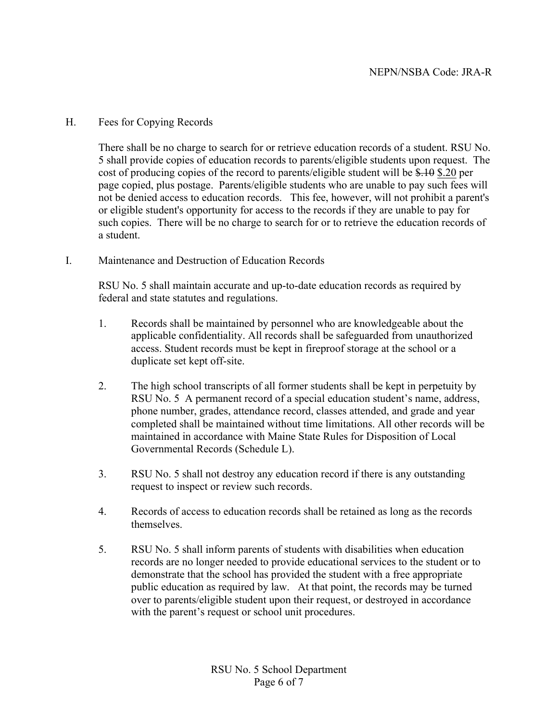# H. Fees for Copying Records

There shall be no charge to search for or retrieve education records of a student. RSU No. 5 shall provide copies of education records to parents/eligible students upon request. The cost of producing copies of the record to parents/eligible student will be \$.10 \$.20 per page copied, plus postage.Parents/eligible students who are unable to pay such fees will not be denied access to education records. This fee, however, will not prohibit a parent's or eligible student's opportunity for access to the records if they are unable to pay for such copies. There will be no charge to search for or to retrieve the education records of a student.

I. Maintenance and Destruction of Education Records

RSU No. 5 shall maintain accurate and up-to-date education records as required by federal and state statutes and regulations.

- 1. Records shall be maintained by personnel who are knowledgeable about the applicable confidentiality. All records shall be safeguarded from unauthorized access. Student records must be kept in fireproof storage at the school or a duplicate set kept off-site.
- 2. The high school transcripts of all former students shall be kept in perpetuity by RSU No. 5 A permanent record of a special education student's name, address, phone number, grades, attendance record, classes attended, and grade and year completed shall be maintained without time limitations. All other records will be maintained in accordance with Maine State Rules for Disposition of Local Governmental Records (Schedule L).
- 3. RSU No. 5 shall not destroy any education record if there is any outstanding request to inspect or review such records.
- 4. Records of access to education records shall be retained as long as the records themselves.
- 5. RSU No. 5 shall inform parents of students with disabilities when education records are no longer needed to provide educational services to the student or to demonstrate that the school has provided the student with a free appropriate public education as required by law. At that point, the records may be turned over to parents/eligible student upon their request, or destroyed in accordance with the parent's request or school unit procedures.